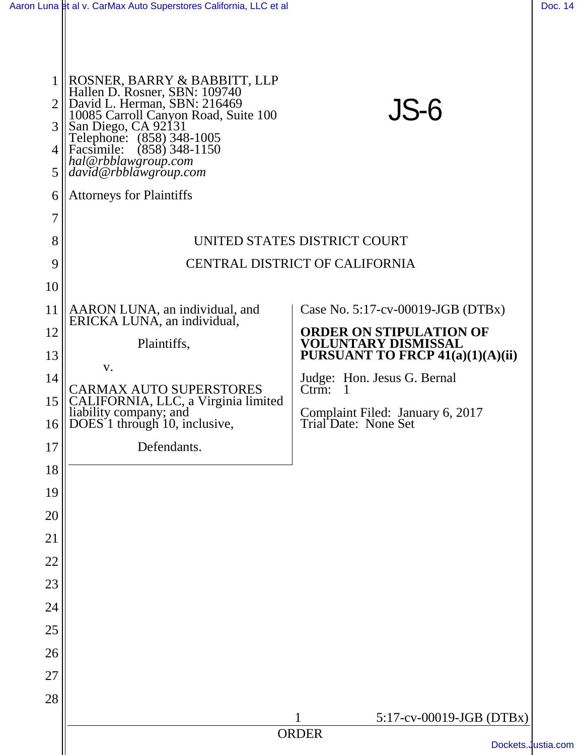|                | Aaron Luna et al v. CarMax Auto Superstores California, LLC et al                                                                                                                                                                                     |                                                              | Doc. 14            |
|----------------|-------------------------------------------------------------------------------------------------------------------------------------------------------------------------------------------------------------------------------------------------------|--------------------------------------------------------------|--------------------|
| 3              | ROSNER, BARRY & BABBITT, LLP<br>Hallen D. Rosner, SBN: 109740<br>$2$ David L. Herman, SBN: 216469<br>10085 Carroll Canyon Road, Suite 100<br>San Diego, CA 92131<br>Telephone: (858) 348-1005<br>4   Facsimile: (858) 348-1150<br>hal@rbblawgroup.com | JS-6                                                         |                    |
| 5 <sup>1</sup> | $\vert david@rbblawgroup.com$                                                                                                                                                                                                                         |                                                              |                    |
| 6              | <b>Attorneys for Plaintiffs</b>                                                                                                                                                                                                                       |                                                              |                    |
| $\overline{7}$ |                                                                                                                                                                                                                                                       |                                                              |                    |
| 8              | UNITED STATES DISTRICT COURT                                                                                                                                                                                                                          |                                                              |                    |
| 9              | CENTRAL DISTRICT OF CALIFORNIA                                                                                                                                                                                                                        |                                                              |                    |
| 10             |                                                                                                                                                                                                                                                       |                                                              |                    |
| 11             | AARON LUNA, an individual, and<br>ERICKA LUNA, an individual,                                                                                                                                                                                         | Case No. $5:17$ -cv-00019-JGB (DTBx)                         |                    |
| 12             | Plaintiffs,                                                                                                                                                                                                                                           | <b>ORDER ON STIPULATION OF</b><br><b>VOLUNTARY DISMISSAL</b> |                    |
| 13             | V.                                                                                                                                                                                                                                                    | <b>PURSUANT TO FRCP 41(a)(1)(A)(ii)</b>                      |                    |
| 14             | CARMAX AUTO SUPERSTORES                                                                                                                                                                                                                               | Judge: Hon. Jesus G. Bernal<br>$C$ trm: 1                    |                    |
| 15             | CALIFORNIA, LLC, a Virginia limited<br>liability company; and                                                                                                                                                                                         | Complaint Filed: January 6, 2017                             |                    |
| 17             | $16$ DOES 1 through 10, inclusive,<br>Defendants.                                                                                                                                                                                                     | Trial Date: None Set                                         |                    |
| 18             |                                                                                                                                                                                                                                                       |                                                              |                    |
| 19             |                                                                                                                                                                                                                                                       |                                                              |                    |
| 20             |                                                                                                                                                                                                                                                       |                                                              |                    |
| 21             |                                                                                                                                                                                                                                                       |                                                              |                    |
| 22             |                                                                                                                                                                                                                                                       |                                                              |                    |
| 23             |                                                                                                                                                                                                                                                       |                                                              |                    |
| 24             |                                                                                                                                                                                                                                                       |                                                              |                    |
| 25             |                                                                                                                                                                                                                                                       |                                                              |                    |
| 26             |                                                                                                                                                                                                                                                       |                                                              |                    |
| 27             |                                                                                                                                                                                                                                                       |                                                              |                    |
| 28             |                                                                                                                                                                                                                                                       |                                                              |                    |
|                |                                                                                                                                                                                                                                                       | 5:17-cv-00019-JGB (DTBx)<br>1                                |                    |
|                |                                                                                                                                                                                                                                                       | <b>ORDER</b>                                                 | Dockets.Justia.com |